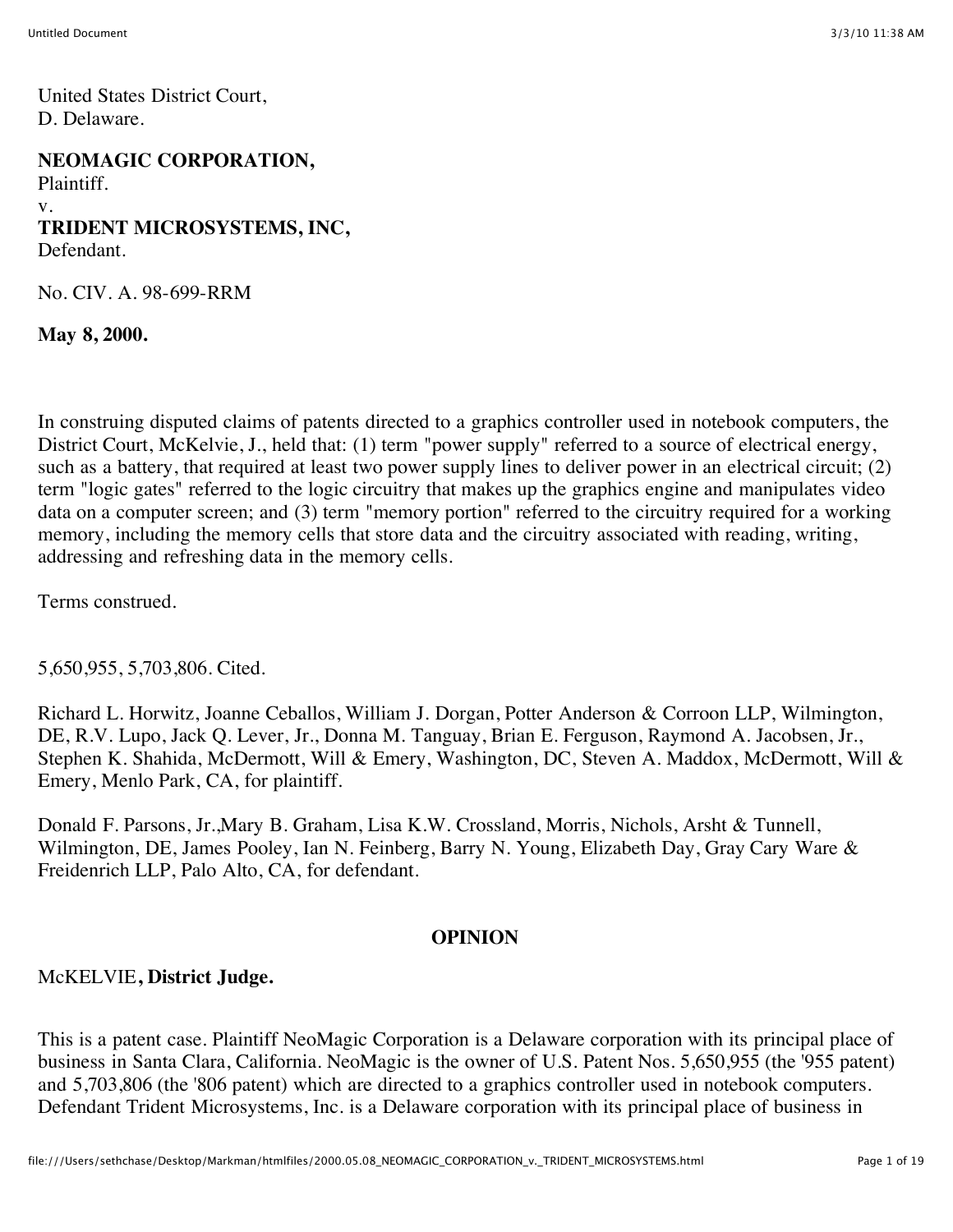United States District Court, D. Delaware.

**NEOMAGIC CORPORATION,**

Plaintiff. v. **TRIDENT MICROSYSTEMS, INC,** Defendant.

No. CIV. A. 98-699-RRM

**May 8, 2000.**

In construing disputed claims of patents directed to a graphics controller used in notebook computers, the District Court, McKelvie, J., held that: (1) term "power supply" referred to a source of electrical energy, such as a battery, that required at least two power supply lines to deliver power in an electrical circuit; (2) term "logic gates" referred to the logic circuitry that makes up the graphics engine and manipulates video data on a computer screen; and (3) term "memory portion" referred to the circuitry required for a working memory, including the memory cells that store data and the circuitry associated with reading, writing, addressing and refreshing data in the memory cells.

Terms construed.

5,650,955, 5,703,806. Cited.

Richard L. Horwitz, Joanne Ceballos, William J. Dorgan, Potter Anderson & Corroon LLP, Wilmington, DE, R.V. Lupo, Jack Q. Lever, Jr., Donna M. Tanguay, Brian E. Ferguson, Raymond A. Jacobsen, Jr., Stephen K. Shahida, McDermott, Will & Emery, Washington, DC, Steven A. Maddox, McDermott, Will & Emery, Menlo Park, CA, for plaintiff.

Donald F. Parsons, Jr.,Mary B. Graham, Lisa K.W. Crossland, Morris, Nichols, Arsht & Tunnell, Wilmington, DE, James Pooley, Ian N. Feinberg, Barry N. Young, Elizabeth Day, Gray Cary Ware & Freidenrich LLP, Palo Alto, CA, for defendant.

#### **OPINION**

#### McKELVIE**, District Judge.**

This is a patent case. Plaintiff NeoMagic Corporation is a Delaware corporation with its principal place of business in Santa Clara, California. NeoMagic is the owner of U.S. Patent Nos. 5,650,955 (the '955 patent) and 5,703,806 (the '806 patent) which are directed to a graphics controller used in notebook computers. Defendant Trident Microsystems, Inc. is a Delaware corporation with its principal place of business in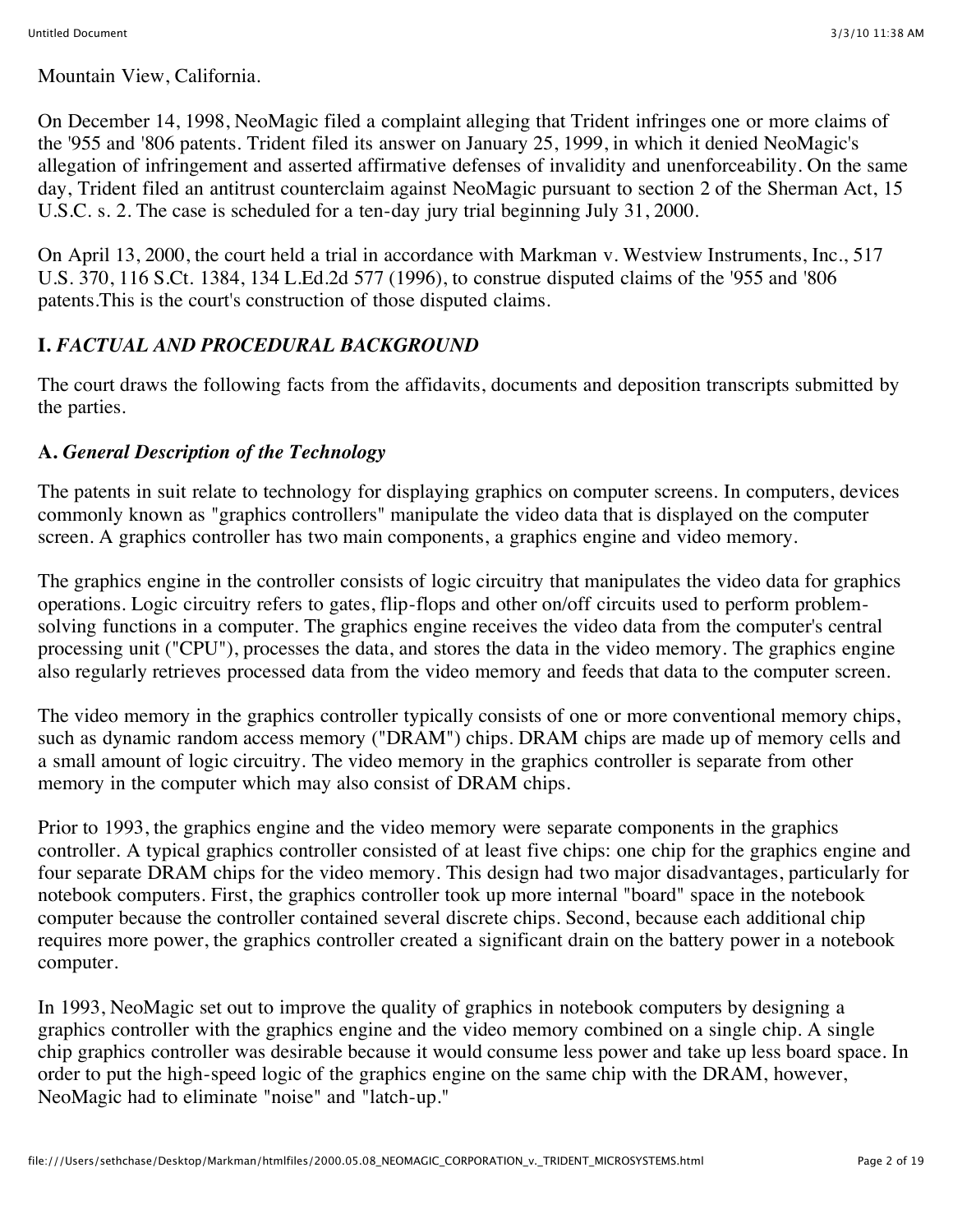Mountain View, California.

On December 14, 1998, NeoMagic filed a complaint alleging that Trident infringes one or more claims of the '955 and '806 patents. Trident filed its answer on January 25, 1999, in which it denied NeoMagic's allegation of infringement and asserted affirmative defenses of invalidity and unenforceability. On the same day, Trident filed an antitrust counterclaim against NeoMagic pursuant to section 2 of the Sherman Act, 15 U.S.C. s. 2. The case is scheduled for a ten-day jury trial beginning July 31, 2000.

On April 13, 2000, the court held a trial in accordance with Markman v. Westview Instruments, Inc., 517 U.S. 370, 116 S.Ct. 1384, 134 L.Ed.2d 577 (1996), to construe disputed claims of the '955 and '806 patents.This is the court's construction of those disputed claims.

# **I.** *FACTUAL AND PROCEDURAL BACKGROUND*

The court draws the following facts from the affidavits, documents and deposition transcripts submitted by the parties.

### **A.** *General Description of the Technology*

The patents in suit relate to technology for displaying graphics on computer screens. In computers, devices commonly known as "graphics controllers" manipulate the video data that is displayed on the computer screen. A graphics controller has two main components, a graphics engine and video memory.

The graphics engine in the controller consists of logic circuitry that manipulates the video data for graphics operations. Logic circuitry refers to gates, flip-flops and other on/off circuits used to perform problemsolving functions in a computer. The graphics engine receives the video data from the computer's central processing unit ("CPU"), processes the data, and stores the data in the video memory. The graphics engine also regularly retrieves processed data from the video memory and feeds that data to the computer screen.

The video memory in the graphics controller typically consists of one or more conventional memory chips, such as dynamic random access memory ("DRAM") chips. DRAM chips are made up of memory cells and a small amount of logic circuitry. The video memory in the graphics controller is separate from other memory in the computer which may also consist of DRAM chips.

Prior to 1993, the graphics engine and the video memory were separate components in the graphics controller. A typical graphics controller consisted of at least five chips: one chip for the graphics engine and four separate DRAM chips for the video memory. This design had two major disadvantages, particularly for notebook computers. First, the graphics controller took up more internal "board" space in the notebook computer because the controller contained several discrete chips. Second, because each additional chip requires more power, the graphics controller created a significant drain on the battery power in a notebook computer.

In 1993, NeoMagic set out to improve the quality of graphics in notebook computers by designing a graphics controller with the graphics engine and the video memory combined on a single chip. A single chip graphics controller was desirable because it would consume less power and take up less board space. In order to put the high-speed logic of the graphics engine on the same chip with the DRAM, however, NeoMagic had to eliminate "noise" and "latch-up."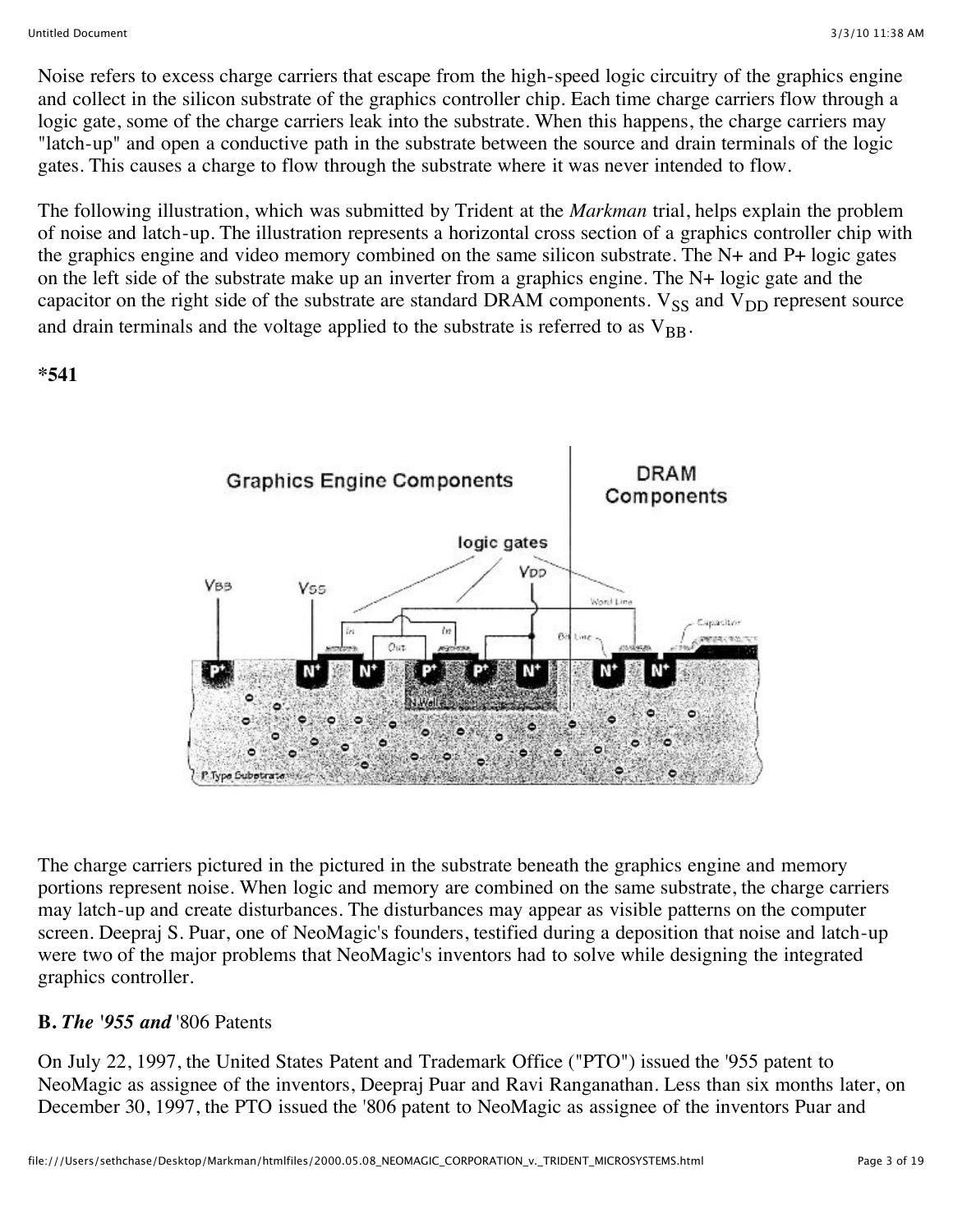Noise refers to excess charge carriers that escape from the high-speed logic circuitry of the graphics engine and collect in the silicon substrate of the graphics controller chip. Each time charge carriers flow through a logic gate, some of the charge carriers leak into the substrate. When this happens, the charge carriers may "latch-up" and open a conductive path in the substrate between the source and drain terminals of the logic gates. This causes a charge to flow through the substrate where it was never intended to flow.

The following illustration, which was submitted by Trident at the *Markman* trial, helps explain the problem of noise and latch-up. The illustration represents a horizontal cross section of a graphics controller chip with the graphics engine and video memory combined on the same silicon substrate. The N+ and P+ logic gates on the left side of the substrate make up an inverter from a graphics engine. The N+ logic gate and the capacitor on the right side of the substrate are standard DRAM components.  $V_{SS}$  and  $V_{DD}$  represent source and drain terminals and the voltage applied to the substrate is referred to as  $V_{BB}$ .

**\*541**



The charge carriers pictured in the pictured in the substrate beneath the graphics engine and memory portions represent noise. When logic and memory are combined on the same substrate, the charge carriers may latch-up and create disturbances. The disturbances may appear as visible patterns on the computer screen. Deepraj S. Puar, one of NeoMagic's founders, testified during a deposition that noise and latch-up were two of the major problems that NeoMagic's inventors had to solve while designing the integrated graphics controller.

### **B.** *The '955 and* '806 Patents

On July 22, 1997, the United States Patent and Trademark Office ("PTO") issued the '955 patent to NeoMagic as assignee of the inventors, Deepraj Puar and Ravi Ranganathan. Less than six months later, on December 30, 1997, the PTO issued the '806 patent to NeoMagic as assignee of the inventors Puar and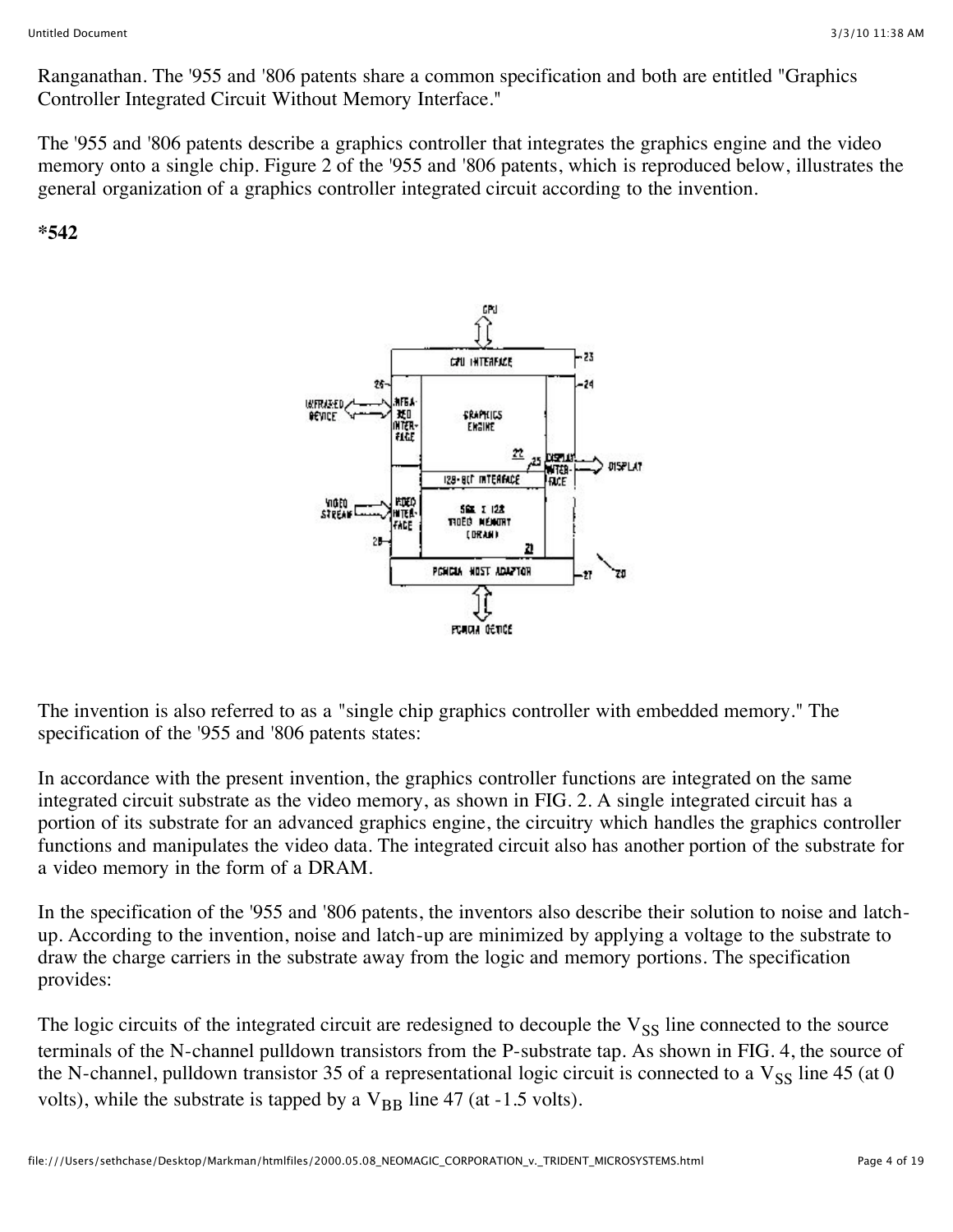Ranganathan. The '955 and '806 patents share a common specification and both are entitled "Graphics Controller Integrated Circuit Without Memory Interface."

The '955 and '806 patents describe a graphics controller that integrates the graphics engine and the video memory onto a single chip. Figure 2 of the '955 and '806 patents, which is reproduced below, illustrates the general organization of a graphics controller integrated circuit according to the invention.

#### **\*542**



The invention is also referred to as a "single chip graphics controller with embedded memory." The specification of the '955 and '806 patents states:

In accordance with the present invention, the graphics controller functions are integrated on the same integrated circuit substrate as the video memory, as shown in FIG. 2. A single integrated circuit has a portion of its substrate for an advanced graphics engine, the circuitry which handles the graphics controller functions and manipulates the video data. The integrated circuit also has another portion of the substrate for a video memory in the form of a DRAM.

In the specification of the '955 and '806 patents, the inventors also describe their solution to noise and latchup. According to the invention, noise and latch-up are minimized by applying a voltage to the substrate to draw the charge carriers in the substrate away from the logic and memory portions. The specification provides:

The logic circuits of the integrated circuit are redesigned to decouple the  $V_{SS}$  line connected to the source terminals of the N-channel pulldown transistors from the P-substrate tap. As shown in FIG. 4, the source of the N-channel, pulldown transistor 35 of a representational logic circuit is connected to a  $V_{SS}$  line 45 (at 0 volts), while the substrate is tapped by a  $V_{BR}$  line 47 (at -1.5 volts).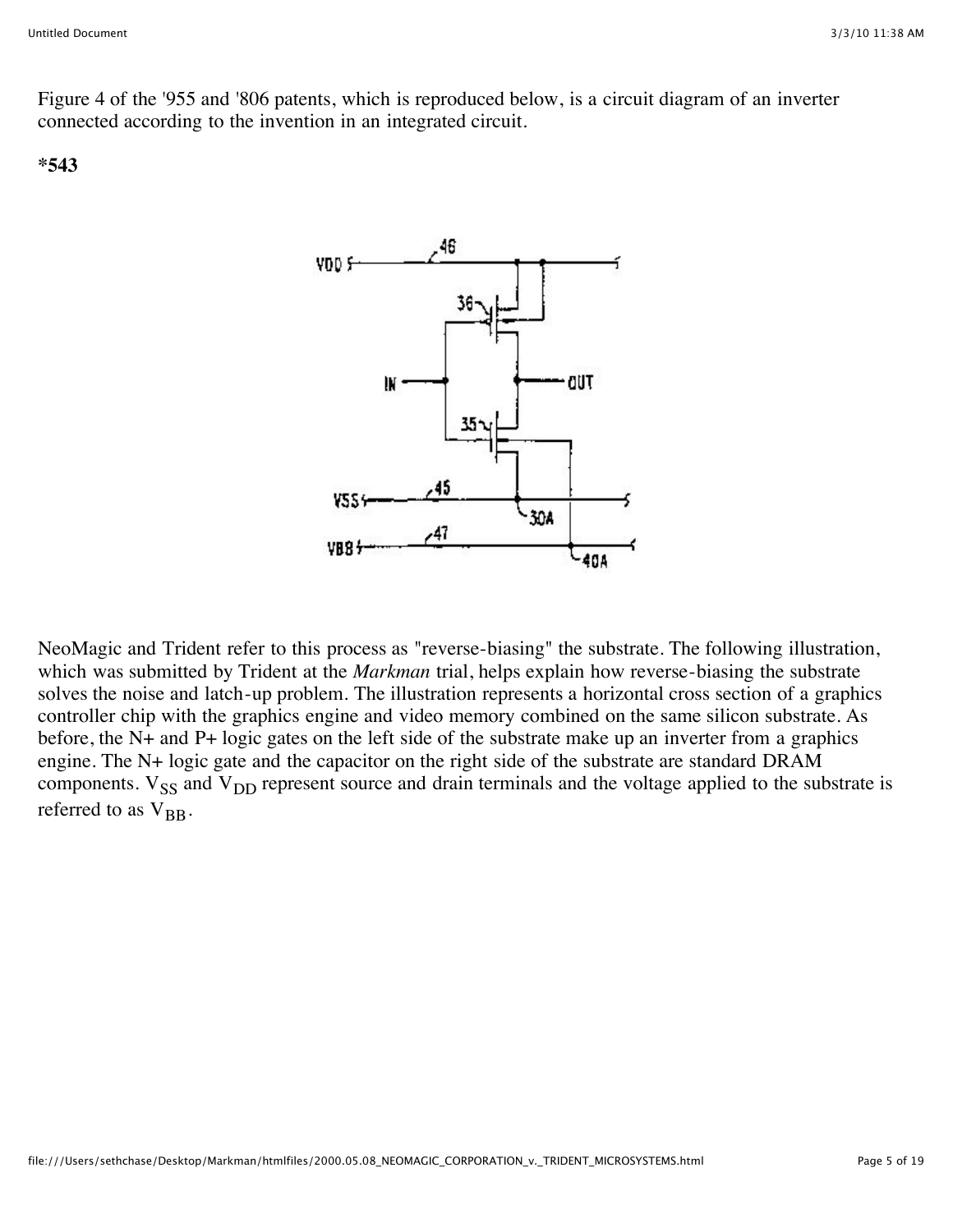Figure 4 of the '955 and '806 patents, which is reproduced below, is a circuit diagram of an inverter connected according to the invention in an integrated circuit.

#### **\*543**



NeoMagic and Trident refer to this process as "reverse-biasing" the substrate. The following illustration, which was submitted by Trident at the *Markman* trial, helps explain how reverse-biasing the substrate solves the noise and latch-up problem. The illustration represents a horizontal cross section of a graphics controller chip with the graphics engine and video memory combined on the same silicon substrate. As before, the N+ and P+ logic gates on the left side of the substrate make up an inverter from a graphics engine. The N+ logic gate and the capacitor on the right side of the substrate are standard DRAM components.  $V_{SS}$  and  $V_{DD}$  represent source and drain terminals and the voltage applied to the substrate is referred to as  $V_{\text{BR}}$ .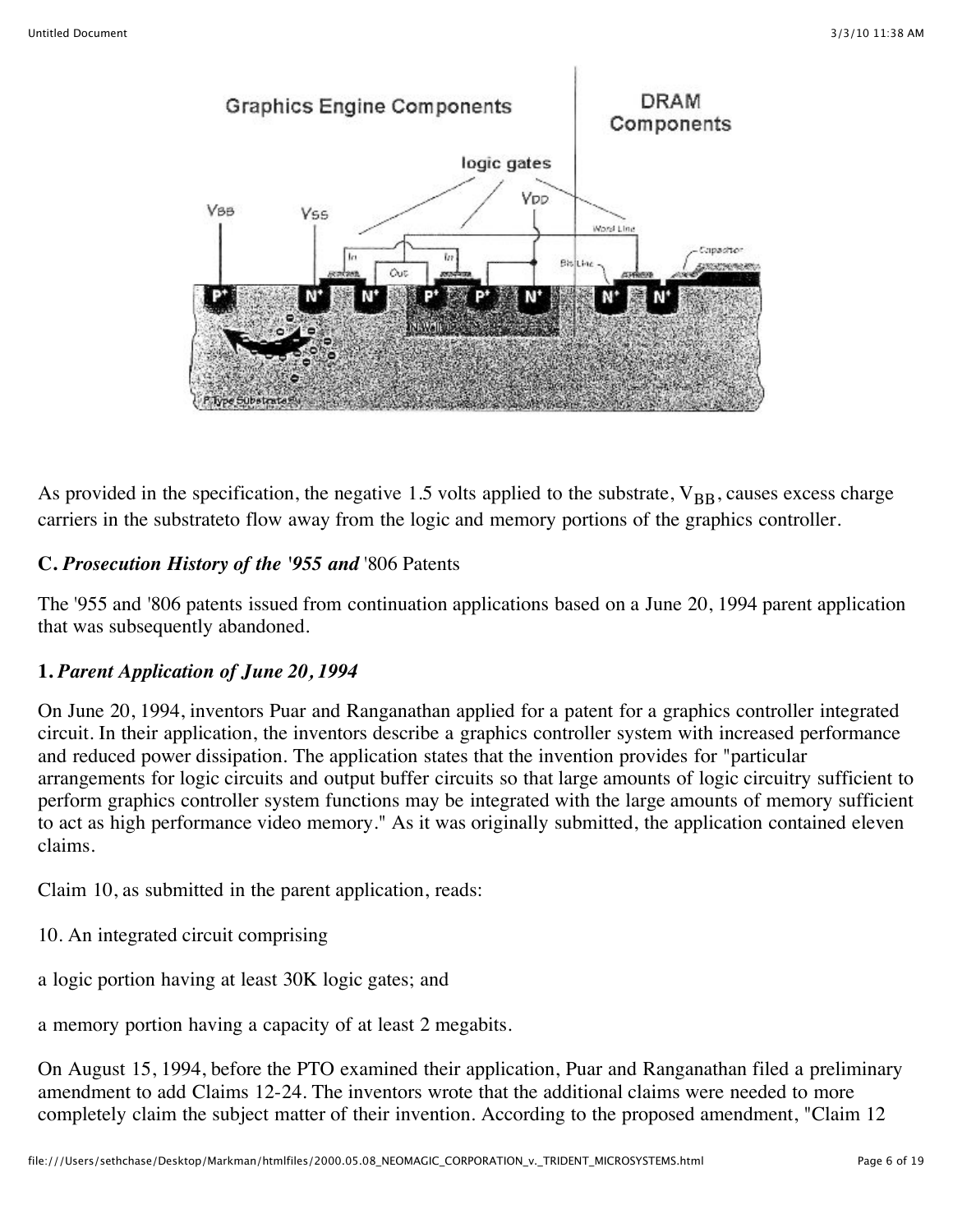

As provided in the specification, the negative 1.5 volts applied to the substrate,  $V_{BB}$ , causes excess charge carriers in the substrateto flow away from the logic and memory portions of the graphics controller.

### **C.** *Prosecution History of the '955 and* '806 Patents

The '955 and '806 patents issued from continuation applications based on a June 20, 1994 parent application that was subsequently abandoned.

### **1.** *Parent Application of June 20, 1994*

On June 20, 1994, inventors Puar and Ranganathan applied for a patent for a graphics controller integrated circuit. In their application, the inventors describe a graphics controller system with increased performance and reduced power dissipation. The application states that the invention provides for "particular arrangements for logic circuits and output buffer circuits so that large amounts of logic circuitry sufficient to perform graphics controller system functions may be integrated with the large amounts of memory sufficient to act as high performance video memory." As it was originally submitted, the application contained eleven claims.

Claim 10, as submitted in the parent application, reads:

- 10. An integrated circuit comprising
- a logic portion having at least 30K logic gates; and

a memory portion having a capacity of at least 2 megabits.

On August 15, 1994, before the PTO examined their application, Puar and Ranganathan filed a preliminary amendment to add Claims 12-24. The inventors wrote that the additional claims were needed to more completely claim the subject matter of their invention. According to the proposed amendment, "Claim 12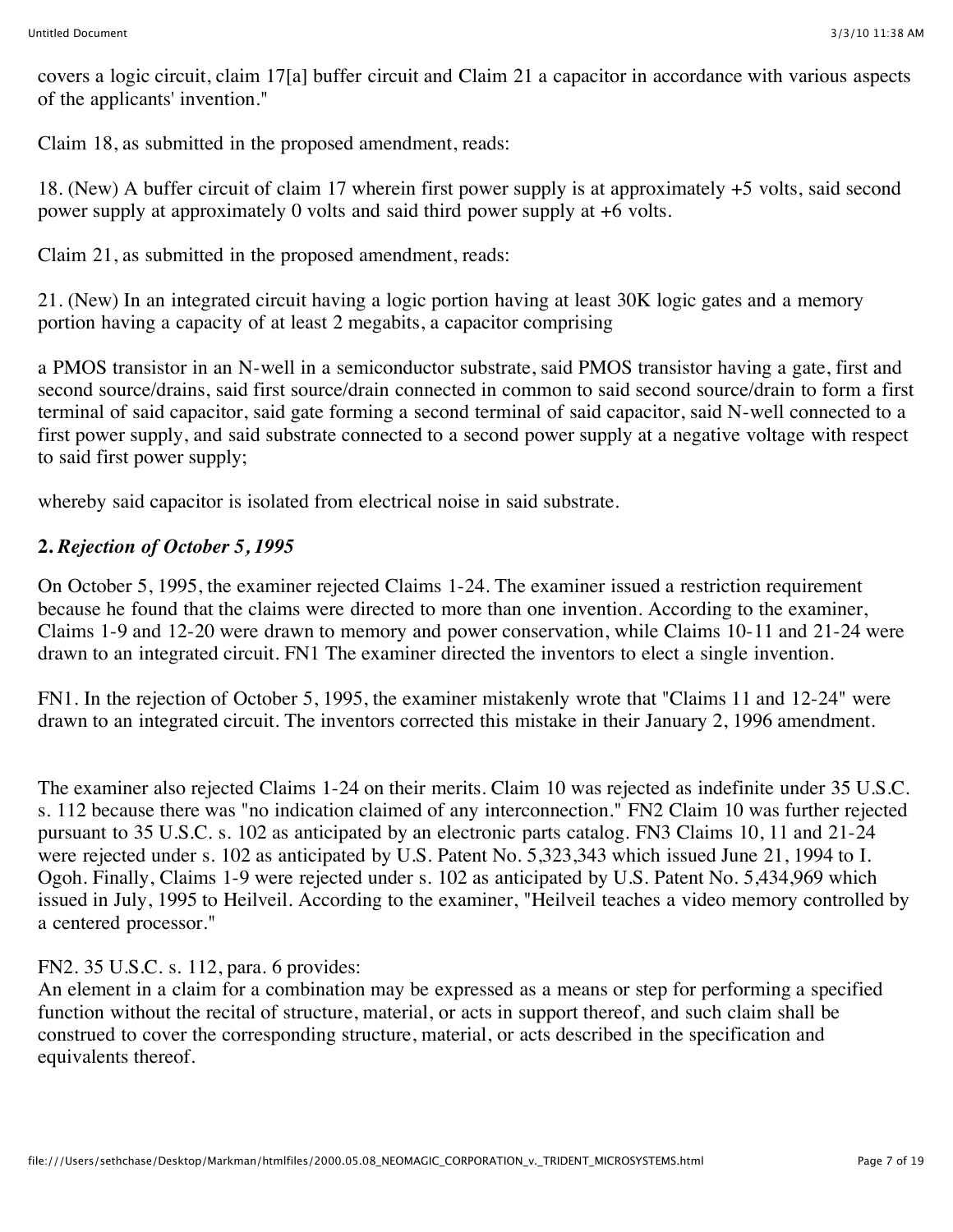covers a logic circuit, claim 17[a] buffer circuit and Claim 21 a capacitor in accordance with various aspects of the applicants' invention."

Claim 18, as submitted in the proposed amendment, reads:

18. (New) A buffer circuit of claim 17 wherein first power supply is at approximately +5 volts, said second power supply at approximately 0 volts and said third power supply at +6 volts.

Claim 21, as submitted in the proposed amendment, reads:

21. (New) In an integrated circuit having a logic portion having at least 30K logic gates and a memory portion having a capacity of at least 2 megabits, a capacitor comprising

a PMOS transistor in an N-well in a semiconductor substrate, said PMOS transistor having a gate, first and second source/drains, said first source/drain connected in common to said second source/drain to form a first terminal of said capacitor, said gate forming a second terminal of said capacitor, said N-well connected to a first power supply, and said substrate connected to a second power supply at a negative voltage with respect to said first power supply;

whereby said capacitor is isolated from electrical noise in said substrate.

# **2.** *Rejection of October 5, 1995*

On October 5, 1995, the examiner rejected Claims 1-24. The examiner issued a restriction requirement because he found that the claims were directed to more than one invention. According to the examiner, Claims 1-9 and 12-20 were drawn to memory and power conservation, while Claims 10-11 and 21-24 were drawn to an integrated circuit. FN1 The examiner directed the inventors to elect a single invention.

FN1. In the rejection of October 5, 1995, the examiner mistakenly wrote that "Claims 11 and 12-24" were drawn to an integrated circuit. The inventors corrected this mistake in their January 2, 1996 amendment.

The examiner also rejected Claims 1-24 on their merits. Claim 10 was rejected as indefinite under 35 U.S.C. s. 112 because there was "no indication claimed of any interconnection." FN2 Claim 10 was further rejected pursuant to 35 U.S.C. s. 102 as anticipated by an electronic parts catalog. FN3 Claims 10, 11 and 21-24 were rejected under s. 102 as anticipated by U.S. Patent No. 5,323,343 which issued June 21, 1994 to I. Ogoh. Finally, Claims 1-9 were rejected under s. 102 as anticipated by U.S. Patent No. 5,434,969 which issued in July, 1995 to Heilveil. According to the examiner, "Heilveil teaches a video memory controlled by a centered processor."

### FN2. 35 U.S.C. s. 112, para. 6 provides:

An element in a claim for a combination may be expressed as a means or step for performing a specified function without the recital of structure, material, or acts in support thereof, and such claim shall be construed to cover the corresponding structure, material, or acts described in the specification and equivalents thereof.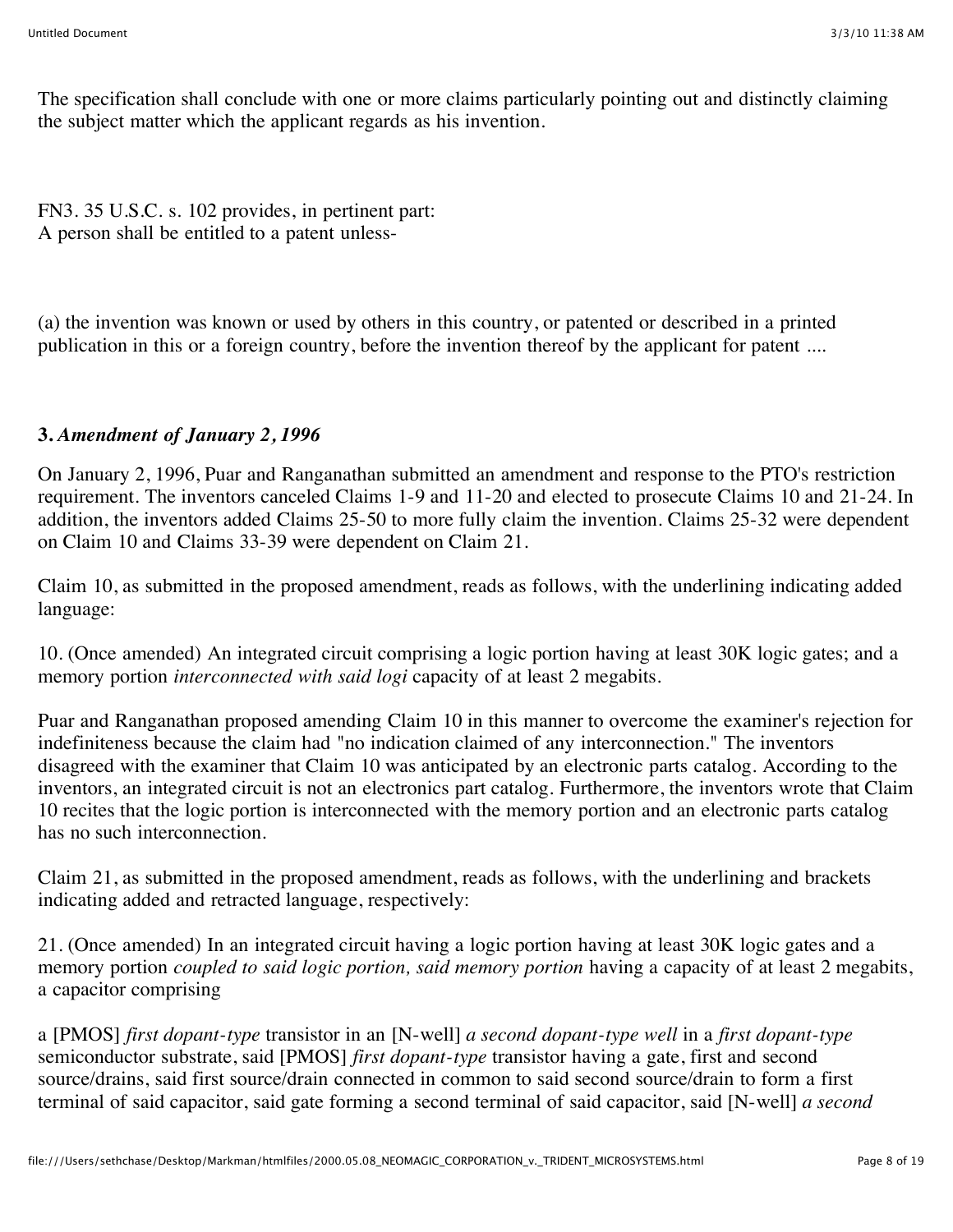The specification shall conclude with one or more claims particularly pointing out and distinctly claiming the subject matter which the applicant regards as his invention.

FN3. 35 U.S.C. s. 102 provides, in pertinent part: A person shall be entitled to a patent unless-

(a) the invention was known or used by others in this country, or patented or described in a printed publication in this or a foreign country, before the invention thereof by the applicant for patent ....

### **3.** *Amendment of January 2, 1996*

On January 2, 1996, Puar and Ranganathan submitted an amendment and response to the PTO's restriction requirement. The inventors canceled Claims 1-9 and 11-20 and elected to prosecute Claims 10 and 21-24. In addition, the inventors added Claims 25-50 to more fully claim the invention. Claims 25-32 were dependent on Claim 10 and Claims 33-39 were dependent on Claim 21.

Claim 10, as submitted in the proposed amendment, reads as follows, with the underlining indicating added language:

10. (Once amended) An integrated circuit comprising a logic portion having at least 30K logic gates; and a memory portion *interconnected with said logi* capacity of at least 2 megabits.

Puar and Ranganathan proposed amending Claim 10 in this manner to overcome the examiner's rejection for indefiniteness because the claim had "no indication claimed of any interconnection." The inventors disagreed with the examiner that Claim 10 was anticipated by an electronic parts catalog. According to the inventors, an integrated circuit is not an electronics part catalog. Furthermore, the inventors wrote that Claim 10 recites that the logic portion is interconnected with the memory portion and an electronic parts catalog has no such interconnection.

Claim 21, as submitted in the proposed amendment, reads as follows, with the underlining and brackets indicating added and retracted language, respectively:

21. (Once amended) In an integrated circuit having a logic portion having at least 30K logic gates and a memory portion *coupled to said logic portion, said memory portion* having a capacity of at least 2 megabits, a capacitor comprising

a [PMOS] *first dopant-type* transistor in an [N-well] *a second dopant-type well* in a *first dopant-type* semiconductor substrate, said [PMOS] *first dopant-type* transistor having a gate, first and second source/drains, said first source/drain connected in common to said second source/drain to form a first terminal of said capacitor, said gate forming a second terminal of said capacitor, said [N-well] *a second*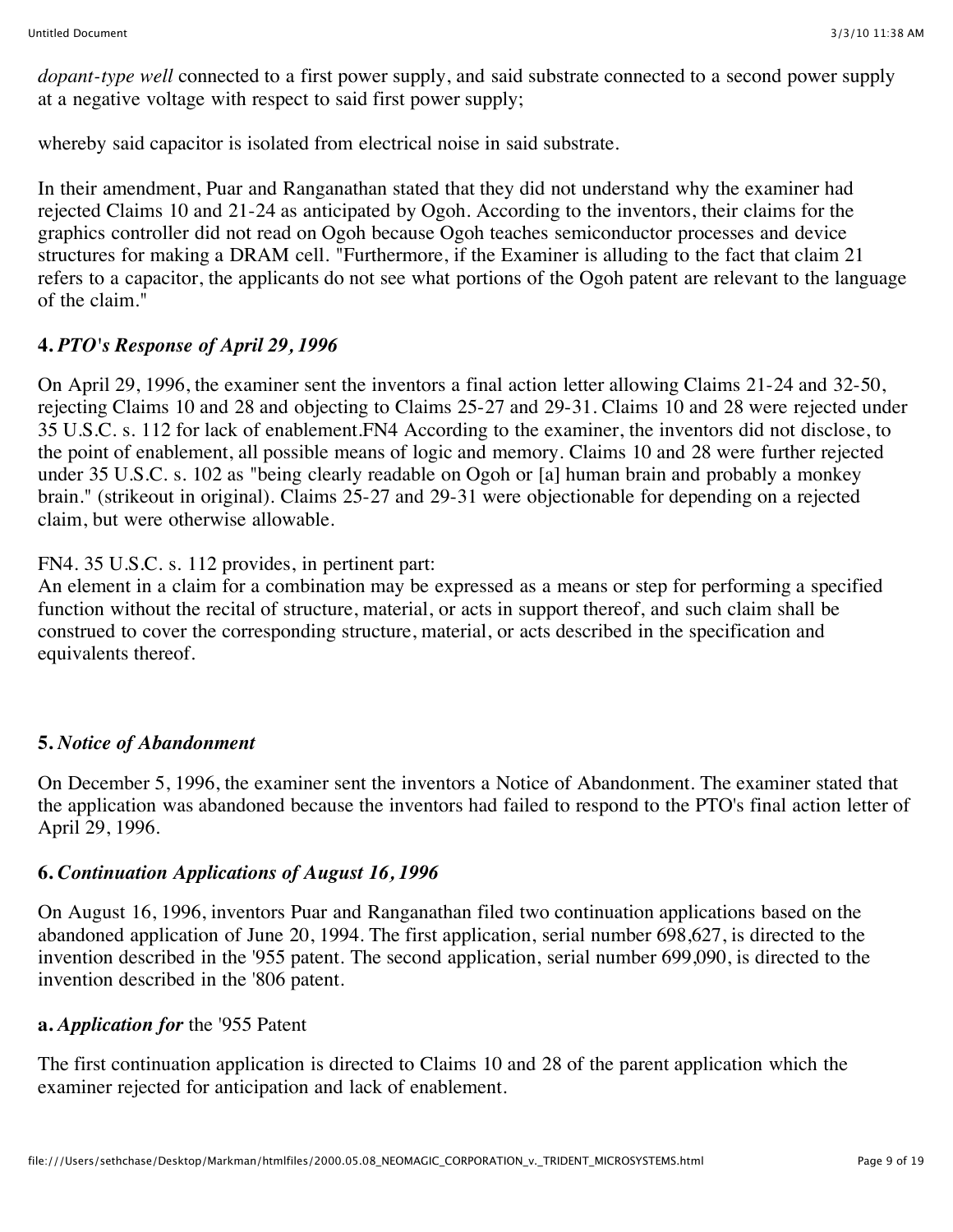*dopant-type well* connected to a first power supply, and said substrate connected to a second power supply at a negative voltage with respect to said first power supply;

whereby said capacitor is isolated from electrical noise in said substrate.

In their amendment, Puar and Ranganathan stated that they did not understand why the examiner had rejected Claims 10 and 21-24 as anticipated by Ogoh. According to the inventors, their claims for the graphics controller did not read on Ogoh because Ogoh teaches semiconductor processes and device structures for making a DRAM cell. "Furthermore, if the Examiner is alluding to the fact that claim 21 refers to a capacitor, the applicants do not see what portions of the Ogoh patent are relevant to the language of the claim."

# **4.** *PTO's Response of April 29, 1996*

On April 29, 1996, the examiner sent the inventors a final action letter allowing Claims 21-24 and 32-50, rejecting Claims 10 and 28 and objecting to Claims 25-27 and 29-31. Claims 10 and 28 were rejected under 35 U.S.C. s. 112 for lack of enablement.FN4 According to the examiner, the inventors did not disclose, to the point of enablement, all possible means of logic and memory. Claims 10 and 28 were further rejected under 35 U.S.C. s. 102 as "being clearly readable on Ogoh or [a] human brain and probably a monkey brain." (strikeout in original). Claims 25-27 and 29-31 were objectionable for depending on a rejected claim, but were otherwise allowable.

### FN4. 35 U.S.C. s. 112 provides, in pertinent part:

An element in a claim for a combination may be expressed as a means or step for performing a specified function without the recital of structure, material, or acts in support thereof, and such claim shall be construed to cover the corresponding structure, material, or acts described in the specification and equivalents thereof.

#### **5.** *Notice of Abandonment*

On December 5, 1996, the examiner sent the inventors a Notice of Abandonment. The examiner stated that the application was abandoned because the inventors had failed to respond to the PTO's final action letter of April 29, 1996.

### **6.** *Continuation Applications of August 16, 1996*

On August 16, 1996, inventors Puar and Ranganathan filed two continuation applications based on the abandoned application of June 20, 1994. The first application, serial number 698,627, is directed to the invention described in the '955 patent. The second application, serial number 699,090, is directed to the invention described in the '806 patent.

### **a.** *Application for* the '955 Patent

The first continuation application is directed to Claims 10 and 28 of the parent application which the examiner rejected for anticipation and lack of enablement.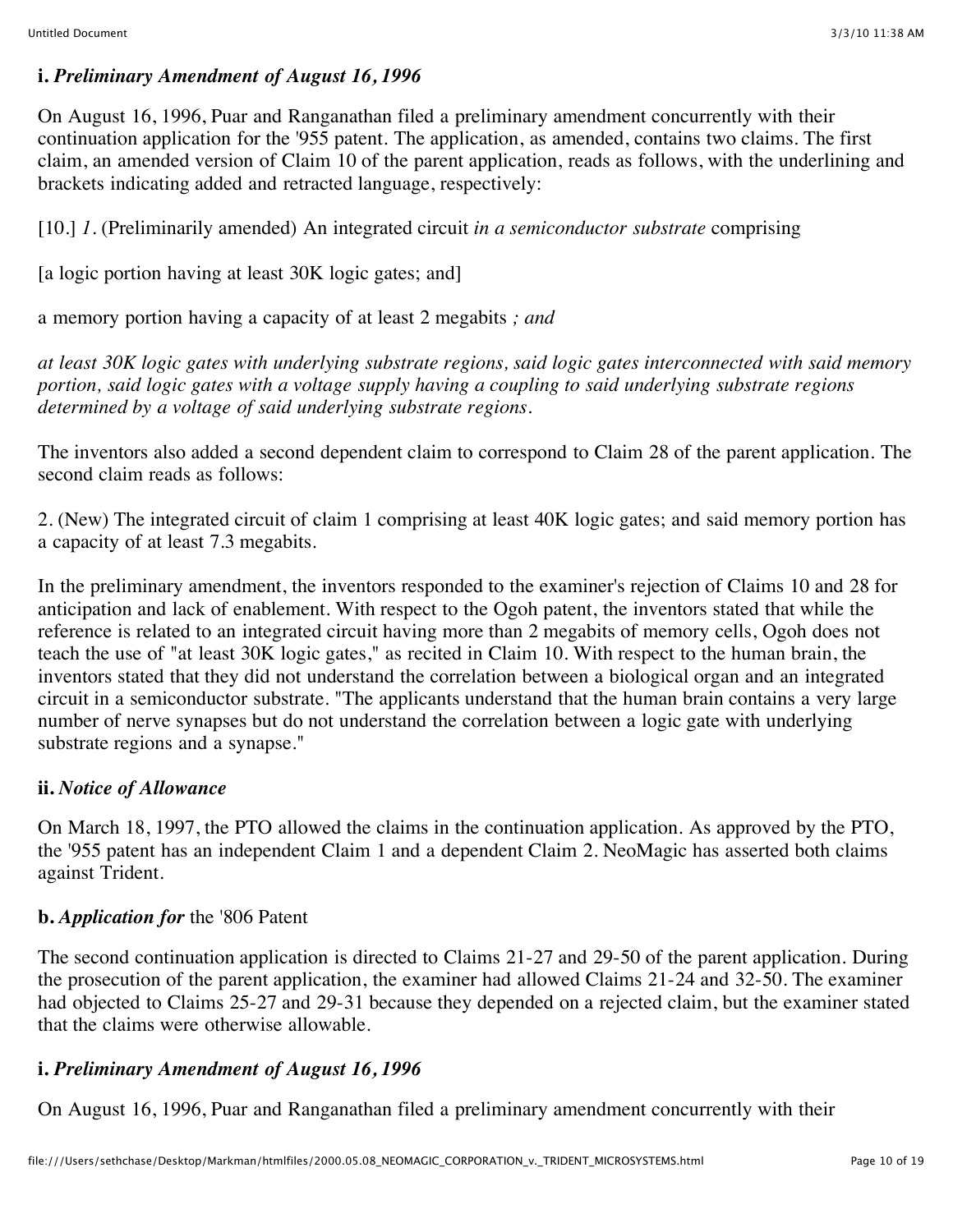#### **i.** *Preliminary Amendment of August 16, 1996*

On August 16, 1996, Puar and Ranganathan filed a preliminary amendment concurrently with their continuation application for the '955 patent. The application, as amended, contains two claims. The first claim, an amended version of Claim 10 of the parent application, reads as follows, with the underlining and brackets indicating added and retracted language, respectively:

[10.] *1.* (Preliminarily amended) An integrated circuit *in a semiconductor substrate* comprising

[a logic portion having at least 30K logic gates; and]

a memory portion having a capacity of at least 2 megabits *; and*

*at least 30K logic gates with underlying substrate regions, said logic gates interconnected with said memory portion, said logic gates with a voltage supply having a coupling to said underlying substrate regions determined by a voltage of said underlying substrate regions.*

The inventors also added a second dependent claim to correspond to Claim 28 of the parent application. The second claim reads as follows:

2. (New) The integrated circuit of claim 1 comprising at least 40K logic gates; and said memory portion has a capacity of at least 7.3 megabits.

In the preliminary amendment, the inventors responded to the examiner's rejection of Claims 10 and 28 for anticipation and lack of enablement. With respect to the Ogoh patent, the inventors stated that while the reference is related to an integrated circuit having more than 2 megabits of memory cells, Ogoh does not teach the use of "at least 30K logic gates," as recited in Claim 10. With respect to the human brain, the inventors stated that they did not understand the correlation between a biological organ and an integrated circuit in a semiconductor substrate. "The applicants understand that the human brain contains a very large number of nerve synapses but do not understand the correlation between a logic gate with underlying substrate regions and a synapse."

### **ii.** *Notice of Allowance*

On March 18, 1997, the PTO allowed the claims in the continuation application. As approved by the PTO, the '955 patent has an independent Claim 1 and a dependent Claim 2. NeoMagic has asserted both claims against Trident.

### **b.** *Application for* the '806 Patent

The second continuation application is directed to Claims 21-27 and 29-50 of the parent application. During the prosecution of the parent application, the examiner had allowed Claims 21-24 and 32-50. The examiner had objected to Claims 25-27 and 29-31 because they depended on a rejected claim, but the examiner stated that the claims were otherwise allowable.

### **i.** *Preliminary Amendment of August 16, 1996*

On August 16, 1996, Puar and Ranganathan filed a preliminary amendment concurrently with their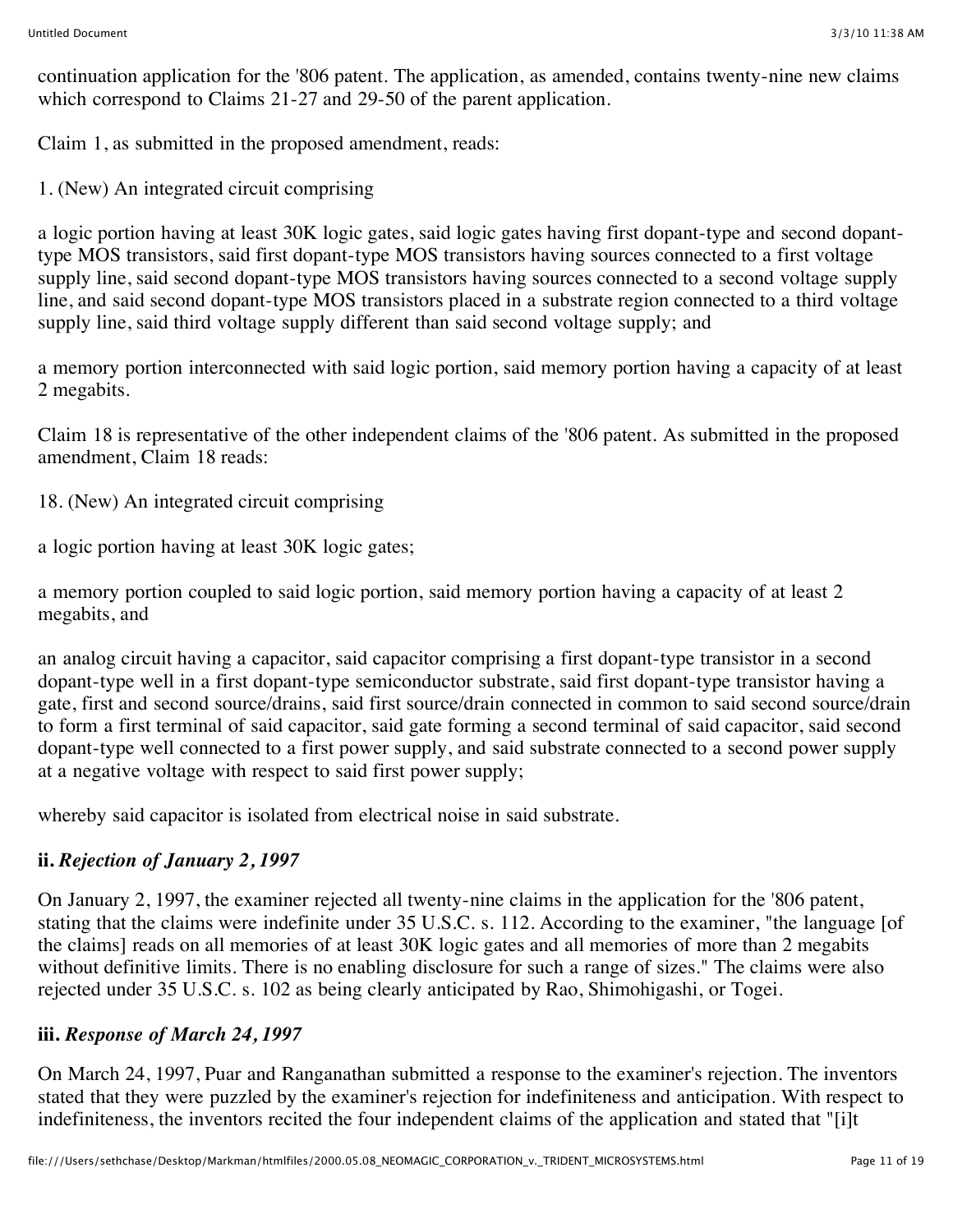continuation application for the '806 patent. The application, as amended, contains twenty-nine new claims which correspond to Claims 21-27 and 29-50 of the parent application.

Claim 1, as submitted in the proposed amendment, reads:

1. (New) An integrated circuit comprising

a logic portion having at least 30K logic gates, said logic gates having first dopant-type and second dopanttype MOS transistors, said first dopant-type MOS transistors having sources connected to a first voltage supply line, said second dopant-type MOS transistors having sources connected to a second voltage supply line, and said second dopant-type MOS transistors placed in a substrate region connected to a third voltage supply line, said third voltage supply different than said second voltage supply; and

a memory portion interconnected with said logic portion, said memory portion having a capacity of at least 2 megabits.

Claim 18 is representative of the other independent claims of the '806 patent. As submitted in the proposed amendment, Claim 18 reads:

18. (New) An integrated circuit comprising

a logic portion having at least 30K logic gates;

a memory portion coupled to said logic portion, said memory portion having a capacity of at least 2 megabits, and

an analog circuit having a capacitor, said capacitor comprising a first dopant-type transistor in a second dopant-type well in a first dopant-type semiconductor substrate, said first dopant-type transistor having a gate, first and second source/drains, said first source/drain connected in common to said second source/drain to form a first terminal of said capacitor, said gate forming a second terminal of said capacitor, said second dopant-type well connected to a first power supply, and said substrate connected to a second power supply at a negative voltage with respect to said first power supply;

whereby said capacitor is isolated from electrical noise in said substrate.

# **ii.** *Rejection of January 2, 1997*

On January 2, 1997, the examiner rejected all twenty-nine claims in the application for the '806 patent, stating that the claims were indefinite under 35 U.S.C. s. 112. According to the examiner, "the language [of the claims] reads on all memories of at least 30K logic gates and all memories of more than 2 megabits without definitive limits. There is no enabling disclosure for such a range of sizes." The claims were also rejected under 35 U.S.C. s. 102 as being clearly anticipated by Rao, Shimohigashi, or Togei.

# **iii.** *Response of March 24, 1997*

On March 24, 1997, Puar and Ranganathan submitted a response to the examiner's rejection. The inventors stated that they were puzzled by the examiner's rejection for indefiniteness and anticipation. With respect to indefiniteness, the inventors recited the four independent claims of the application and stated that "[i]t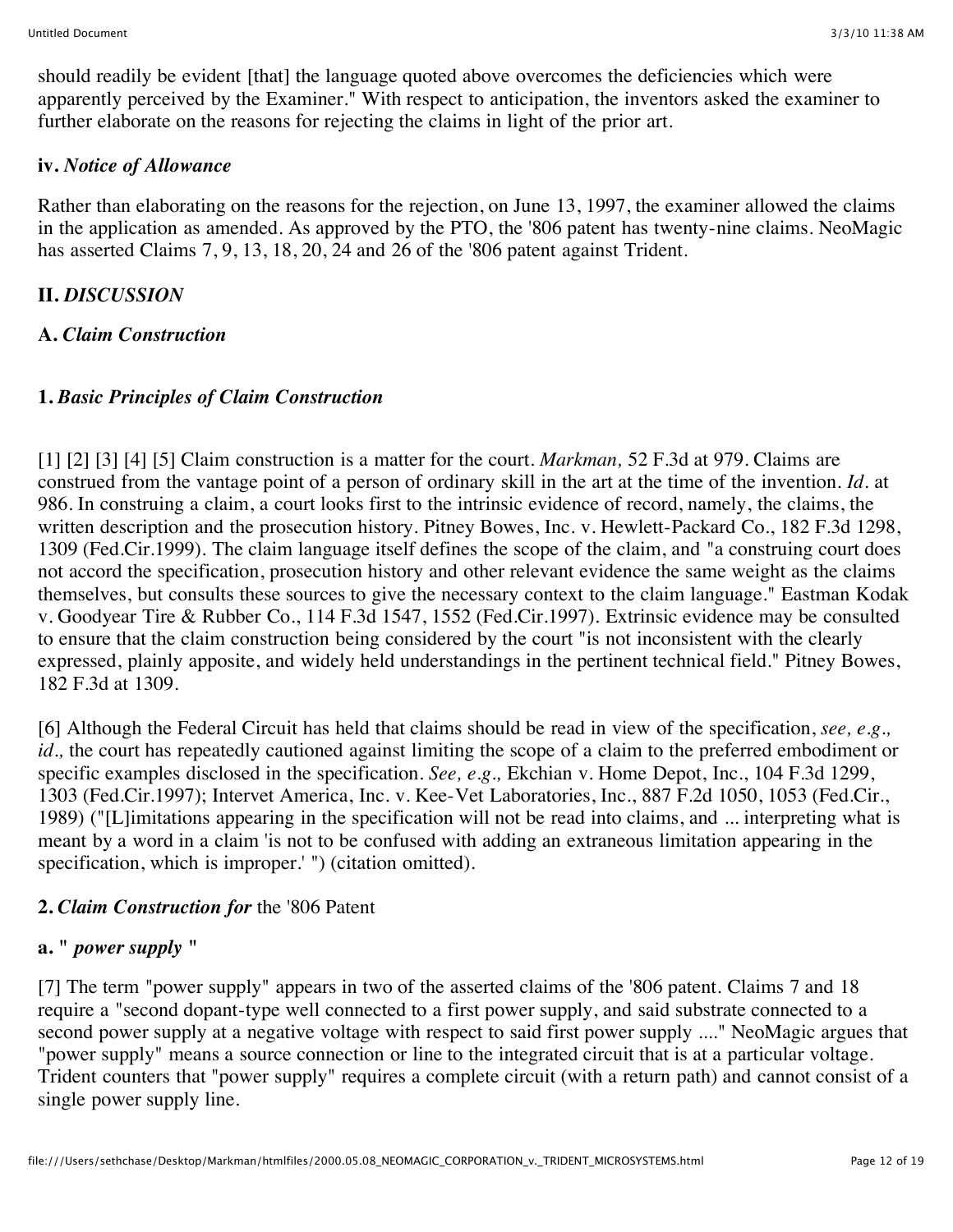should readily be evident [that] the language quoted above overcomes the deficiencies which were apparently perceived by the Examiner." With respect to anticipation, the inventors asked the examiner to further elaborate on the reasons for rejecting the claims in light of the prior art.

### **iv.** *Notice of Allowance*

Rather than elaborating on the reasons for the rejection, on June 13, 1997, the examiner allowed the claims in the application as amended. As approved by the PTO, the '806 patent has twenty-nine claims. NeoMagic has asserted Claims 7, 9, 13, 18, 20, 24 and 26 of the '806 patent against Trident.

# **II.** *DISCUSSION*

# **A.** *Claim Construction*

# **1.** *Basic Principles of Claim Construction*

[1] [2] [3] [4] [5] Claim construction is a matter for the court. *Markman,* 52 F.3d at 979. Claims are construed from the vantage point of a person of ordinary skill in the art at the time of the invention. *Id.* at 986. In construing a claim, a court looks first to the intrinsic evidence of record, namely, the claims, the written description and the prosecution history. Pitney Bowes, Inc. v. Hewlett-Packard Co., 182 F.3d 1298, 1309 (Fed.Cir.1999). The claim language itself defines the scope of the claim, and "a construing court does not accord the specification, prosecution history and other relevant evidence the same weight as the claims themselves, but consults these sources to give the necessary context to the claim language." Eastman Kodak v. Goodyear Tire & Rubber Co., 114 F.3d 1547, 1552 (Fed.Cir.1997). Extrinsic evidence may be consulted to ensure that the claim construction being considered by the court "is not inconsistent with the clearly expressed, plainly apposite, and widely held understandings in the pertinent technical field." Pitney Bowes, 182 F.3d at 1309.

[6] Although the Federal Circuit has held that claims should be read in view of the specification, *see, e.g., id.,* the court has repeatedly cautioned against limiting the scope of a claim to the preferred embodiment or specific examples disclosed in the specification. *See, e.g.,* Ekchian v. Home Depot, Inc., 104 F.3d 1299, 1303 (Fed.Cir.1997); Intervet America, Inc. v. Kee-Vet Laboratories, Inc., 887 F.2d 1050, 1053 (Fed.Cir., 1989) ("[L]imitations appearing in the specification will not be read into claims, and ... interpreting what is meant by a word in a claim 'is not to be confused with adding an extraneous limitation appearing in the specification, which is improper.' ") (citation omitted).

### **2.** *Claim Construction for* the '806 Patent

# **a. "** *power supply* **"**

[7] The term "power supply" appears in two of the asserted claims of the '806 patent. Claims 7 and 18 require a "second dopant-type well connected to a first power supply, and said substrate connected to a second power supply at a negative voltage with respect to said first power supply ...." NeoMagic argues that "power supply" means a source connection or line to the integrated circuit that is at a particular voltage. Trident counters that "power supply" requires a complete circuit (with a return path) and cannot consist of a single power supply line.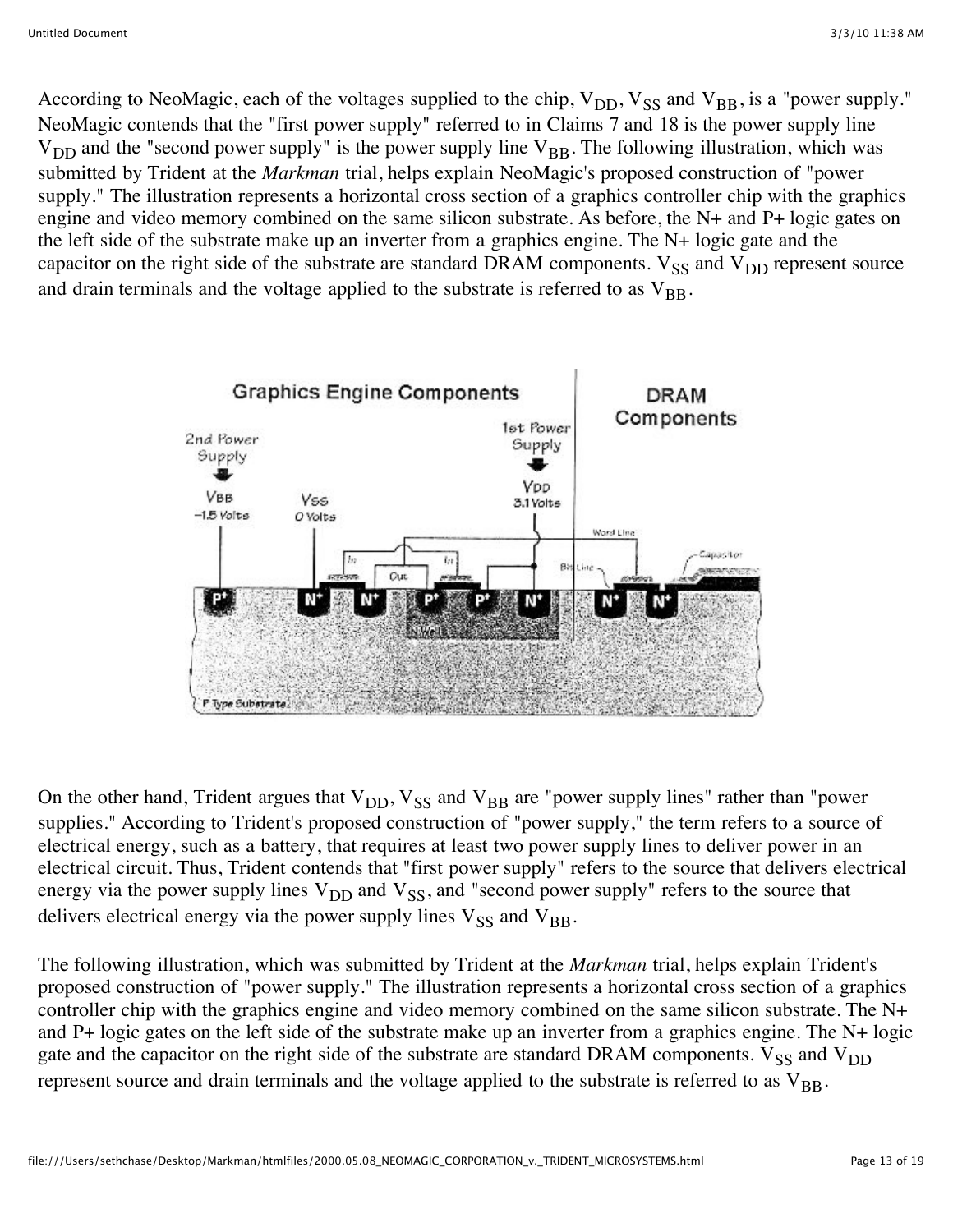According to NeoMagic, each of the voltages supplied to the chip,  $V_{DD}$ ,  $V_{SS}$  and  $V_{BB}$ , is a "power supply." NeoMagic contends that the "first power supply" referred to in Claims 7 and 18 is the power supply line  $V_{DD}$  and the "second power supply" is the power supply line  $V_{BB}$ . The following illustration, which was submitted by Trident at the *Markman* trial, helps explain NeoMagic's proposed construction of "power supply." The illustration represents a horizontal cross section of a graphics controller chip with the graphics engine and video memory combined on the same silicon substrate. As before, the N+ and P+ logic gates on the left side of the substrate make up an inverter from a graphics engine. The N+ logic gate and the capacitor on the right side of the substrate are standard DRAM components.  $V_{SS}$  and  $V_{DD}$  represent source and drain terminals and the voltage applied to the substrate is referred to as  $V_{BR}$ .



On the other hand, Trident argues that  $V_{DD}$ ,  $V_{SS}$  and  $V_{BB}$  are "power supply lines" rather than "power supplies." According to Trident's proposed construction of "power supply," the term refers to a source of electrical energy, such as a battery, that requires at least two power supply lines to deliver power in an electrical circuit. Thus, Trident contends that "first power supply" refers to the source that delivers electrical energy via the power supply lines  $V_{DD}$  and  $V_{SS}$ , and "second power supply" refers to the source that delivers electrical energy via the power supply lines  $V_{SS}$  and  $V_{BB}$ .

The following illustration, which was submitted by Trident at the *Markman* trial, helps explain Trident's proposed construction of "power supply." The illustration represents a horizontal cross section of a graphics controller chip with the graphics engine and video memory combined on the same silicon substrate. The N+ and P+ logic gates on the left side of the substrate make up an inverter from a graphics engine. The N+ logic gate and the capacitor on the right side of the substrate are standard DRAM components.  $V_{SS}$  and  $V_{DD}$ represent source and drain terminals and the voltage applied to the substrate is referred to as  $V_{BB}$ .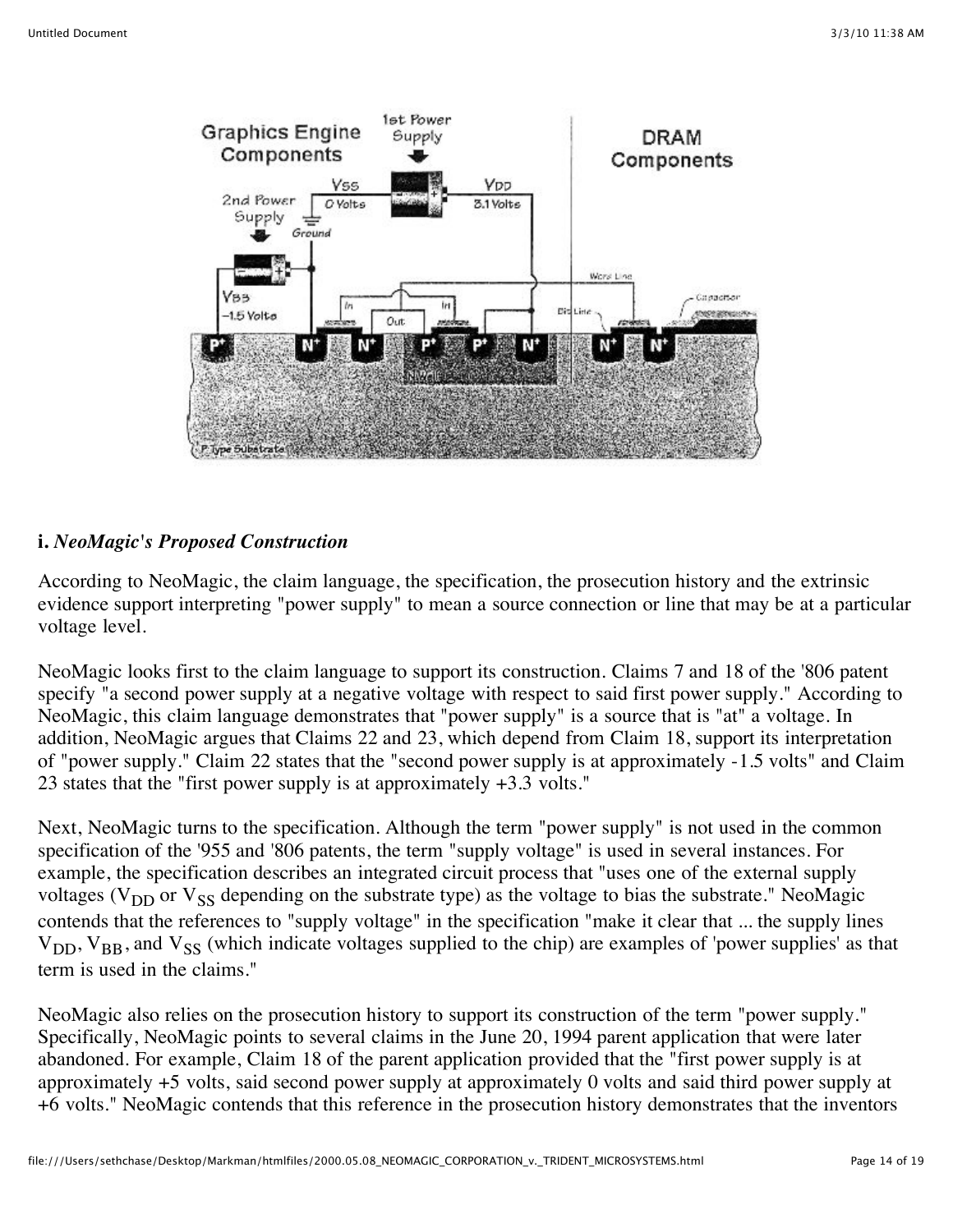

### **i.** *NeoMagic's Proposed Construction*

According to NeoMagic, the claim language, the specification, the prosecution history and the extrinsic evidence support interpreting "power supply" to mean a source connection or line that may be at a particular voltage level.

NeoMagic looks first to the claim language to support its construction. Claims 7 and 18 of the '806 patent specify "a second power supply at a negative voltage with respect to said first power supply." According to NeoMagic, this claim language demonstrates that "power supply" is a source that is "at" a voltage. In addition, NeoMagic argues that Claims 22 and 23, which depend from Claim 18, support its interpretation of "power supply." Claim 22 states that the "second power supply is at approximately -1.5 volts" and Claim 23 states that the "first power supply is at approximately +3.3 volts."

Next, NeoMagic turns to the specification. Although the term "power supply" is not used in the common specification of the '955 and '806 patents, the term "supply voltage" is used in several instances. For example, the specification describes an integrated circuit process that "uses one of the external supply voltages ( $V_{DD}$  or  $V_{SS}$  depending on the substrate type) as the voltage to bias the substrate." NeoMagic contends that the references to "supply voltage" in the specification "make it clear that ... the supply lines  $V_{DD}$ ,  $V_{BB}$ , and  $V_{SS}$  (which indicate voltages supplied to the chip) are examples of 'power supplies' as that term is used in the claims."

NeoMagic also relies on the prosecution history to support its construction of the term "power supply." Specifically, NeoMagic points to several claims in the June 20, 1994 parent application that were later abandoned. For example, Claim 18 of the parent application provided that the "first power supply is at approximately +5 volts, said second power supply at approximately 0 volts and said third power supply at +6 volts." NeoMagic contends that this reference in the prosecution history demonstrates that the inventors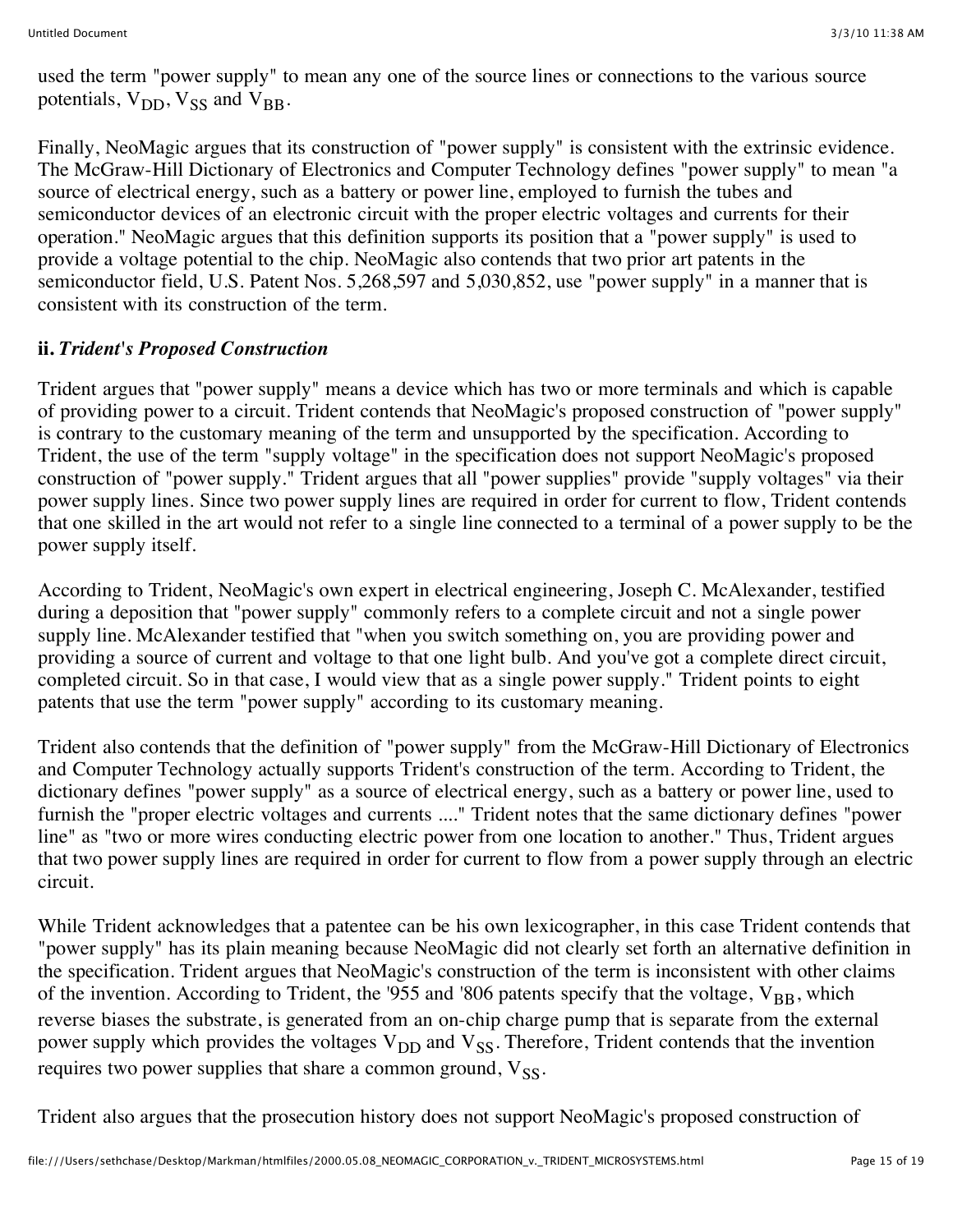used the term "power supply" to mean any one of the source lines or connections to the various source potentials,  $V_{DD}$ ,  $V_{SS}$  and  $V_{BB}$ .

Finally, NeoMagic argues that its construction of "power supply" is consistent with the extrinsic evidence. The McGraw-Hill Dictionary of Electronics and Computer Technology defines "power supply" to mean "a source of electrical energy, such as a battery or power line, employed to furnish the tubes and semiconductor devices of an electronic circuit with the proper electric voltages and currents for their operation." NeoMagic argues that this definition supports its position that a "power supply" is used to provide a voltage potential to the chip. NeoMagic also contends that two prior art patents in the semiconductor field, U.S. Patent Nos. 5,268,597 and 5,030,852, use "power supply" in a manner that is consistent with its construction of the term.

### **ii.** *Trident's Proposed Construction*

Trident argues that "power supply" means a device which has two or more terminals and which is capable of providing power to a circuit. Trident contends that NeoMagic's proposed construction of "power supply" is contrary to the customary meaning of the term and unsupported by the specification. According to Trident, the use of the term "supply voltage" in the specification does not support NeoMagic's proposed construction of "power supply." Trident argues that all "power supplies" provide "supply voltages" via their power supply lines. Since two power supply lines are required in order for current to flow, Trident contends that one skilled in the art would not refer to a single line connected to a terminal of a power supply to be the power supply itself.

According to Trident, NeoMagic's own expert in electrical engineering, Joseph C. McAlexander, testified during a deposition that "power supply" commonly refers to a complete circuit and not a single power supply line. McAlexander testified that "when you switch something on, you are providing power and providing a source of current and voltage to that one light bulb. And you've got a complete direct circuit, completed circuit. So in that case, I would view that as a single power supply." Trident points to eight patents that use the term "power supply" according to its customary meaning.

Trident also contends that the definition of "power supply" from the McGraw-Hill Dictionary of Electronics and Computer Technology actually supports Trident's construction of the term. According to Trident, the dictionary defines "power supply" as a source of electrical energy, such as a battery or power line, used to furnish the "proper electric voltages and currents ...." Trident notes that the same dictionary defines "power line" as "two or more wires conducting electric power from one location to another." Thus, Trident argues that two power supply lines are required in order for current to flow from a power supply through an electric circuit.

While Trident acknowledges that a patentee can be his own lexicographer, in this case Trident contends that "power supply" has its plain meaning because NeoMagic did not clearly set forth an alternative definition in the specification. Trident argues that NeoMagic's construction of the term is inconsistent with other claims of the invention. According to Trident, the '955 and '806 patents specify that the voltage,  $V_{BR}$ , which reverse biases the substrate, is generated from an on-chip charge pump that is separate from the external power supply which provides the voltages  $V_{DD}$  and  $V_{SS}$ . Therefore, Trident contends that the invention requires two power supplies that share a common ground,  $V_{SS}$ .

Trident also argues that the prosecution history does not support NeoMagic's proposed construction of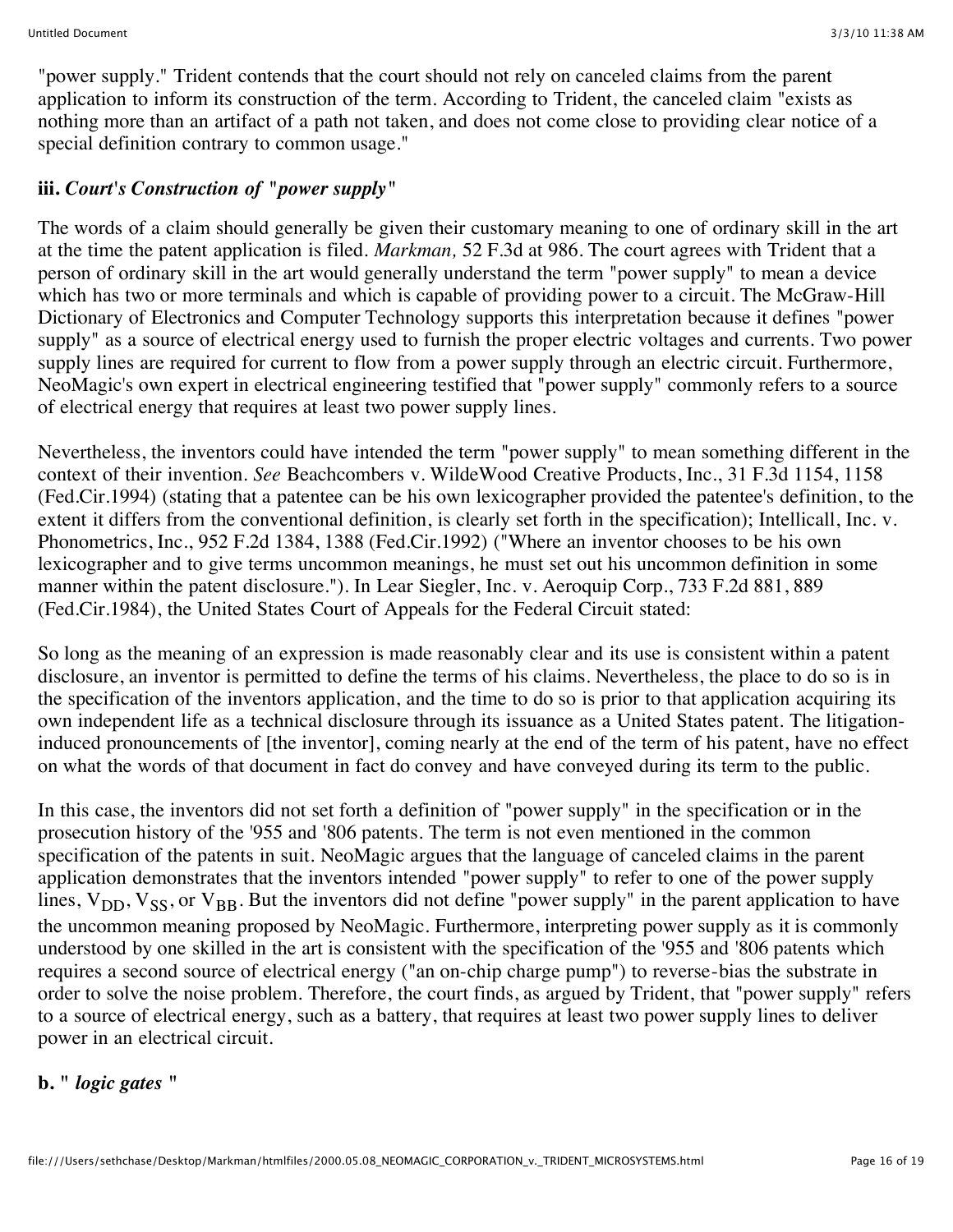"power supply." Trident contends that the court should not rely on canceled claims from the parent application to inform its construction of the term. According to Trident, the canceled claim "exists as nothing more than an artifact of a path not taken, and does not come close to providing clear notice of a special definition contrary to common usage."

# **iii.** *Court's Construction of "power supply"*

The words of a claim should generally be given their customary meaning to one of ordinary skill in the art at the time the patent application is filed. *Markman,* 52 F.3d at 986. The court agrees with Trident that a person of ordinary skill in the art would generally understand the term "power supply" to mean a device which has two or more terminals and which is capable of providing power to a circuit. The McGraw-Hill Dictionary of Electronics and Computer Technology supports this interpretation because it defines "power supply" as a source of electrical energy used to furnish the proper electric voltages and currents. Two power supply lines are required for current to flow from a power supply through an electric circuit. Furthermore, NeoMagic's own expert in electrical engineering testified that "power supply" commonly refers to a source of electrical energy that requires at least two power supply lines.

Nevertheless, the inventors could have intended the term "power supply" to mean something different in the context of their invention. *See* Beachcombers v. WildeWood Creative Products, Inc., 31 F.3d 1154, 1158 (Fed.Cir.1994) (stating that a patentee can be his own lexicographer provided the patentee's definition, to the extent it differs from the conventional definition, is clearly set forth in the specification); Intellicall, Inc. v. Phonometrics, Inc., 952 F.2d 1384, 1388 (Fed.Cir.1992) ("Where an inventor chooses to be his own lexicographer and to give terms uncommon meanings, he must set out his uncommon definition in some manner within the patent disclosure."). In Lear Siegler, Inc. v. Aeroquip Corp., 733 F.2d 881, 889 (Fed.Cir.1984), the United States Court of Appeals for the Federal Circuit stated:

So long as the meaning of an expression is made reasonably clear and its use is consistent within a patent disclosure, an inventor is permitted to define the terms of his claims. Nevertheless, the place to do so is in the specification of the inventors application, and the time to do so is prior to that application acquiring its own independent life as a technical disclosure through its issuance as a United States patent. The litigationinduced pronouncements of [the inventor], coming nearly at the end of the term of his patent, have no effect on what the words of that document in fact do convey and have conveyed during its term to the public.

In this case, the inventors did not set forth a definition of "power supply" in the specification or in the prosecution history of the '955 and '806 patents. The term is not even mentioned in the common specification of the patents in suit. NeoMagic argues that the language of canceled claims in the parent application demonstrates that the inventors intended "power supply" to refer to one of the power supply lines,  $V_{DD}$ ,  $V_{SS}$ , or  $V_{BB}$ . But the inventors did not define "power supply" in the parent application to have the uncommon meaning proposed by NeoMagic. Furthermore, interpreting power supply as it is commonly understood by one skilled in the art is consistent with the specification of the '955 and '806 patents which requires a second source of electrical energy ("an on-chip charge pump") to reverse-bias the substrate in order to solve the noise problem. Therefore, the court finds, as argued by Trident, that "power supply" refers to a source of electrical energy, such as a battery, that requires at least two power supply lines to deliver power in an electrical circuit.

#### **b. "** *logic gates* **"**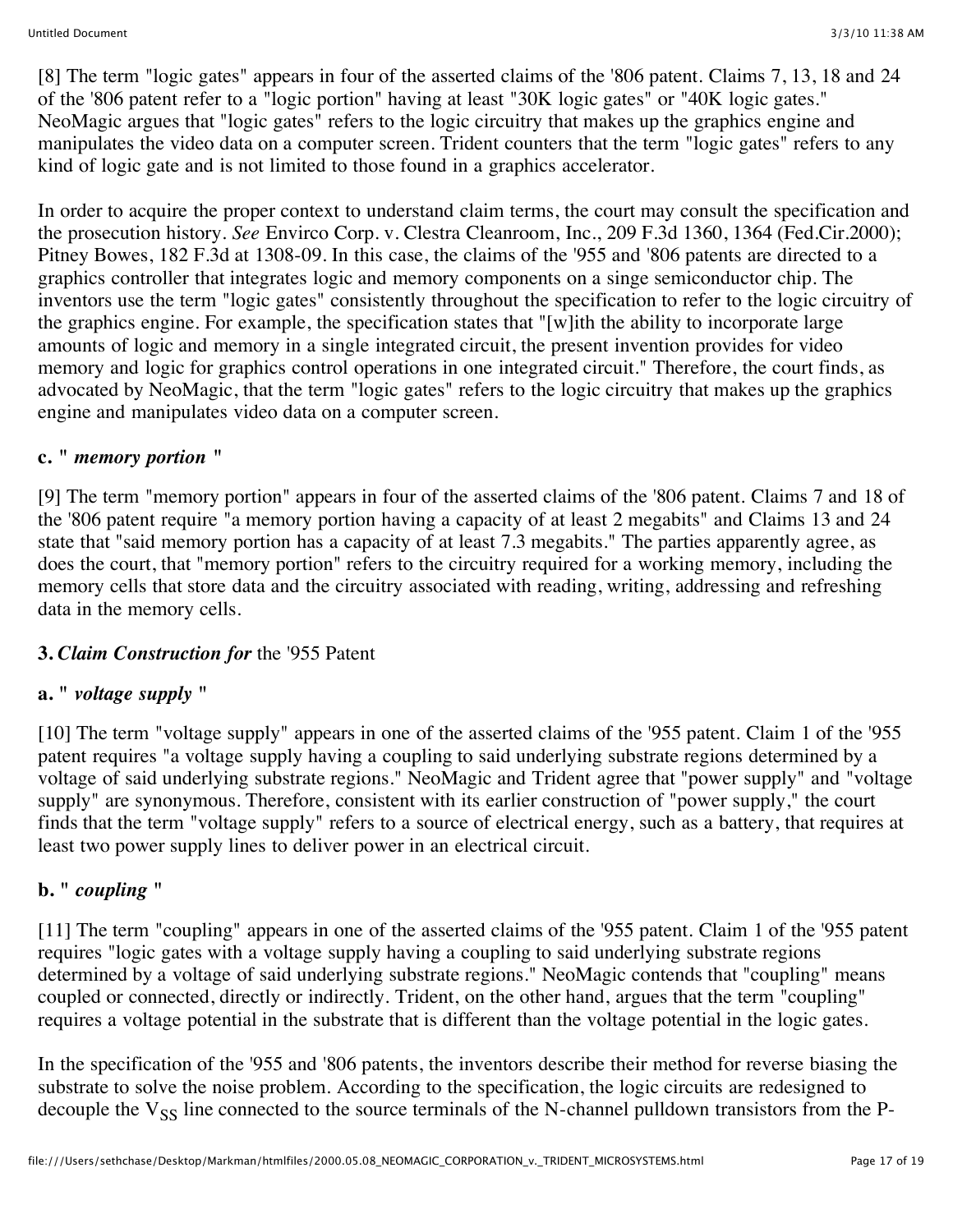[8] The term "logic gates" appears in four of the asserted claims of the '806 patent. Claims 7, 13, 18 and 24 of the '806 patent refer to a "logic portion" having at least "30K logic gates" or "40K logic gates." NeoMagic argues that "logic gates" refers to the logic circuitry that makes up the graphics engine and manipulates the video data on a computer screen. Trident counters that the term "logic gates" refers to any kind of logic gate and is not limited to those found in a graphics accelerator.

In order to acquire the proper context to understand claim terms, the court may consult the specification and the prosecution history. *See* Envirco Corp. v. Clestra Cleanroom, Inc., 209 F.3d 1360, 1364 (Fed.Cir.2000); Pitney Bowes, 182 F.3d at 1308-09. In this case, the claims of the '955 and '806 patents are directed to a graphics controller that integrates logic and memory components on a singe semiconductor chip. The inventors use the term "logic gates" consistently throughout the specification to refer to the logic circuitry of the graphics engine. For example, the specification states that "[w]ith the ability to incorporate large amounts of logic and memory in a single integrated circuit, the present invention provides for video memory and logic for graphics control operations in one integrated circuit." Therefore, the court finds, as advocated by NeoMagic, that the term "logic gates" refers to the logic circuitry that makes up the graphics engine and manipulates video data on a computer screen.

### **c. "** *memory portion* **"**

[9] The term "memory portion" appears in four of the asserted claims of the '806 patent. Claims 7 and 18 of the '806 patent require "a memory portion having a capacity of at least 2 megabits" and Claims 13 and 24 state that "said memory portion has a capacity of at least 7.3 megabits." The parties apparently agree, as does the court, that "memory portion" refers to the circuitry required for a working memory, including the memory cells that store data and the circuitry associated with reading, writing, addressing and refreshing data in the memory cells.

### **3.** *Claim Construction for* the '955 Patent

# **a. "** *voltage supply* **"**

[10] The term "voltage supply" appears in one of the asserted claims of the '955 patent. Claim 1 of the '955 patent requires "a voltage supply having a coupling to said underlying substrate regions determined by a voltage of said underlying substrate regions." NeoMagic and Trident agree that "power supply" and "voltage supply" are synonymous. Therefore, consistent with its earlier construction of "power supply," the court finds that the term "voltage supply" refers to a source of electrical energy, such as a battery, that requires at least two power supply lines to deliver power in an electrical circuit.

### **b. "** *coupling* **"**

[11] The term "coupling" appears in one of the asserted claims of the '955 patent. Claim 1 of the '955 patent requires "logic gates with a voltage supply having a coupling to said underlying substrate regions determined by a voltage of said underlying substrate regions." NeoMagic contends that "coupling" means coupled or connected, directly or indirectly. Trident, on the other hand, argues that the term "coupling" requires a voltage potential in the substrate that is different than the voltage potential in the logic gates.

In the specification of the '955 and '806 patents, the inventors describe their method for reverse biasing the substrate to solve the noise problem. According to the specification, the logic circuits are redesigned to decouple the  $V_{SS}$  line connected to the source terminals of the N-channel pulldown transistors from the P-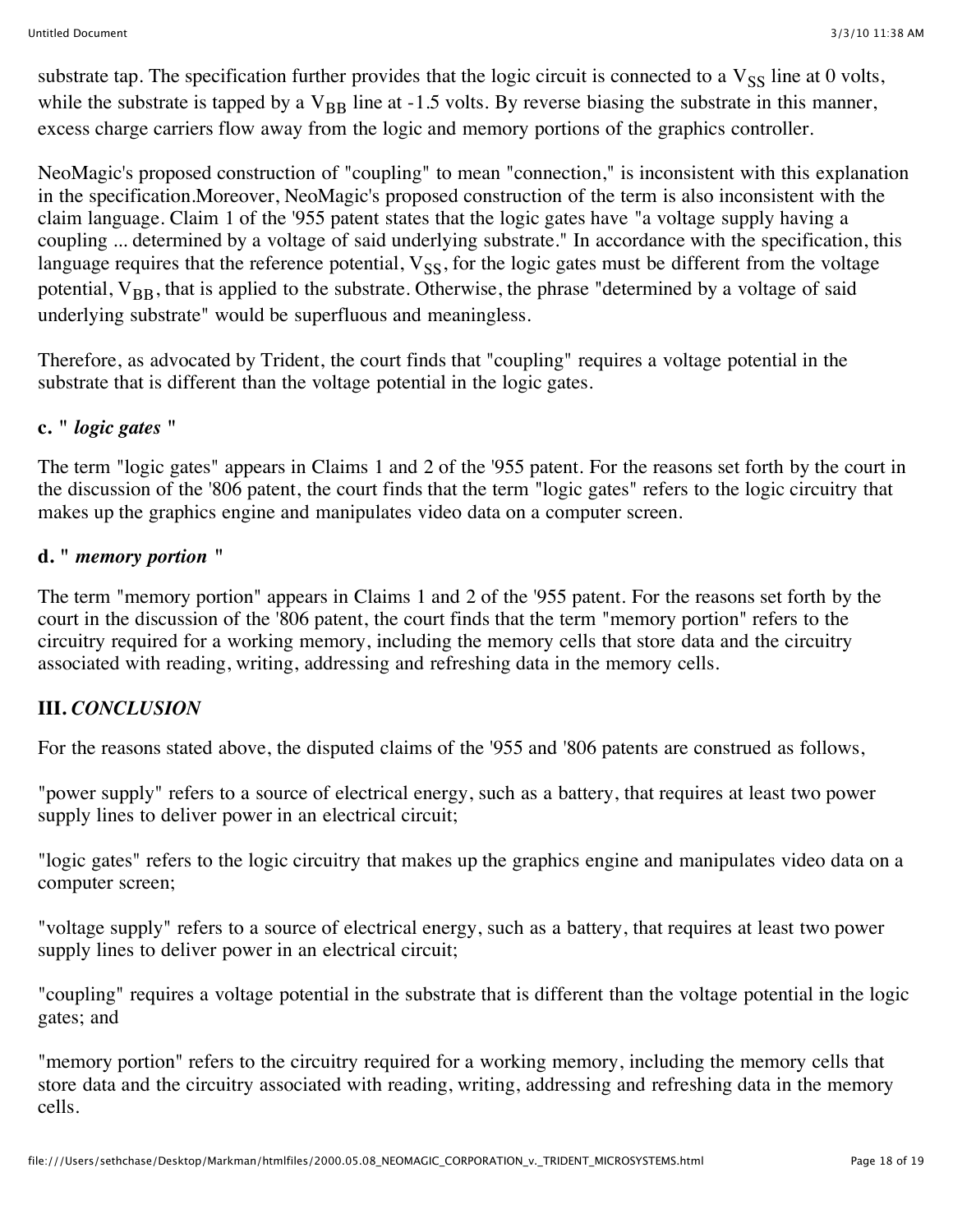substrate tap. The specification further provides that the logic circuit is connected to a  $V_{SS}$  line at 0 volts, while the substrate is tapped by a  $V_{BR}$  line at -1.5 volts. By reverse biasing the substrate in this manner, excess charge carriers flow away from the logic and memory portions of the graphics controller.

NeoMagic's proposed construction of "coupling" to mean "connection," is inconsistent with this explanation in the specification.Moreover, NeoMagic's proposed construction of the term is also inconsistent with the claim language. Claim 1 of the '955 patent states that the logic gates have "a voltage supply having a coupling ... determined by a voltage of said underlying substrate." In accordance with the specification, this language requires that the reference potential,  $V_{SS}$ , for the logic gates must be different from the voltage potential,  $V_{BR}$ , that is applied to the substrate. Otherwise, the phrase "determined by a voltage of said underlying substrate" would be superfluous and meaningless.

Therefore, as advocated by Trident, the court finds that "coupling" requires a voltage potential in the substrate that is different than the voltage potential in the logic gates.

### **c. "** *logic gates* **"**

The term "logic gates" appears in Claims 1 and 2 of the '955 patent. For the reasons set forth by the court in the discussion of the '806 patent, the court finds that the term "logic gates" refers to the logic circuitry that makes up the graphics engine and manipulates video data on a computer screen.

#### **d. "** *memory portion* **"**

The term "memory portion" appears in Claims 1 and 2 of the '955 patent. For the reasons set forth by the court in the discussion of the '806 patent, the court finds that the term "memory portion" refers to the circuitry required for a working memory, including the memory cells that store data and the circuitry associated with reading, writing, addressing and refreshing data in the memory cells.

#### **III.** *CONCLUSION*

For the reasons stated above, the disputed claims of the '955 and '806 patents are construed as follows,

"power supply" refers to a source of electrical energy, such as a battery, that requires at least two power supply lines to deliver power in an electrical circuit;

"logic gates" refers to the logic circuitry that makes up the graphics engine and manipulates video data on a computer screen;

"voltage supply" refers to a source of electrical energy, such as a battery, that requires at least two power supply lines to deliver power in an electrical circuit;

"coupling" requires a voltage potential in the substrate that is different than the voltage potential in the logic gates; and

"memory portion" refers to the circuitry required for a working memory, including the memory cells that store data and the circuitry associated with reading, writing, addressing and refreshing data in the memory cells.